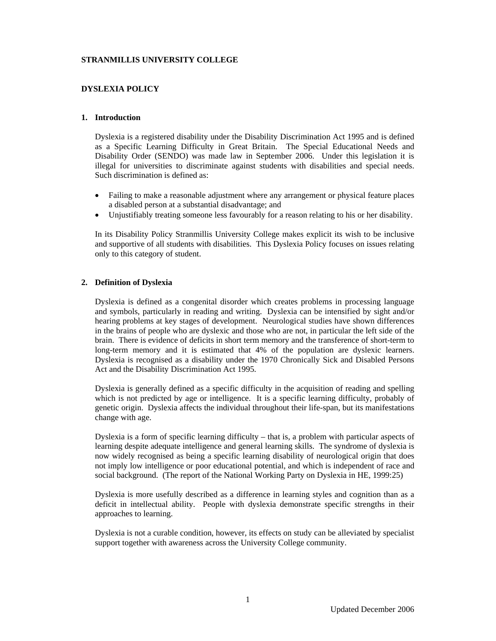## **STRANMILLIS UNIVERSITY COLLEGE**

# **DYSLEXIA POLICY**

### **1. Introduction**

Dyslexia is a registered disability under the Disability Discrimination Act 1995 and is defined as a Specific Learning Difficulty in Great Britain. The Special Educational Needs and Disability Order (SENDO) was made law in September 2006. Under this legislation it is illegal for universities to discriminate against students with disabilities and special needs. Such discrimination is defined as:

- Failing to make a reasonable adjustment where any arrangement or physical feature places a disabled person at a substantial disadvantage; and
- Unjustifiably treating someone less favourably for a reason relating to his or her disability.

In its Disability Policy Stranmillis University College makes explicit its wish to be inclusive and supportive of all students with disabilities. This Dyslexia Policy focuses on issues relating only to this category of student.

## **2. Definition of Dyslexia**

Dyslexia is defined as a congenital disorder which creates problems in processing language and symbols, particularly in reading and writing. Dyslexia can be intensified by sight and/or hearing problems at key stages of development. Neurological studies have shown differences in the brains of people who are dyslexic and those who are not, in particular the left side of the brain. There is evidence of deficits in short term memory and the transference of short-term to long-term memory and it is estimated that 4% of the population are dyslexic learners. Dyslexia is recognised as a disability under the 1970 Chronically Sick and Disabled Persons Act and the Disability Discrimination Act 1995.

Dyslexia is generally defined as a specific difficulty in the acquisition of reading and spelling which is not predicted by age or intelligence. It is a specific learning difficulty, probably of genetic origin. Dyslexia affects the individual throughout their life-span, but its manifestations change with age.

Dyslexia is a form of specific learning difficulty – that is, a problem with particular aspects of learning despite adequate intelligence and general learning skills. The syndrome of dyslexia is now widely recognised as being a specific learning disability of neurological origin that does not imply low intelligence or poor educational potential, and which is independent of race and social background. (The report of the National Working Party on Dyslexia in HE, 1999:25)

Dyslexia is more usefully described as a difference in learning styles and cognition than as a deficit in intellectual ability. People with dyslexia demonstrate specific strengths in their approaches to learning.

Dyslexia is not a curable condition, however, its effects on study can be alleviated by specialist support together with awareness across the University College community.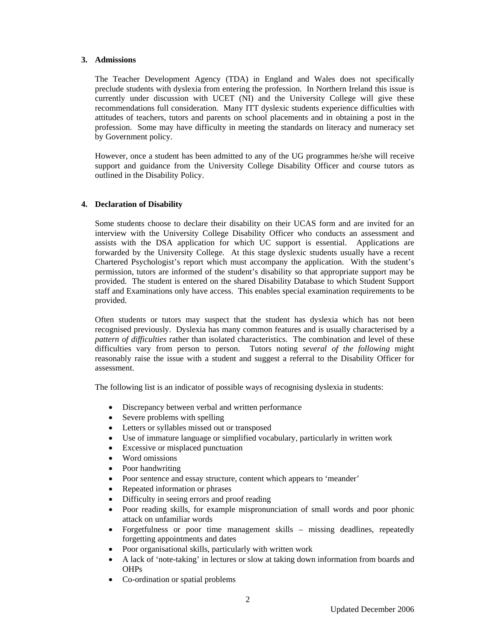## **3. Admissions**

The Teacher Development Agency (TDA) in England and Wales does not specifically preclude students with dyslexia from entering the profession. In Northern Ireland this issue is currently under discussion with UCET (NI) and the University College will give these recommendations full consideration. Many ITT dyslexic students experience difficulties with attitudes of teachers, tutors and parents on school placements and in obtaining a post in the profession. Some may have difficulty in meeting the standards on literacy and numeracy set by Government policy.

However, once a student has been admitted to any of the UG programmes he/she will receive support and guidance from the University College Disability Officer and course tutors as outlined in the Disability Policy.

## **4. Declaration of Disability**

Some students choose to declare their disability on their UCAS form and are invited for an interview with the University College Disability Officer who conducts an assessment and assists with the DSA application for which UC support is essential. Applications are forwarded by the University College. At this stage dyslexic students usually have a recent Chartered Psychologist's report which must accompany the application. With the student's permission, tutors are informed of the student's disability so that appropriate support may be provided. The student is entered on the shared Disability Database to which Student Support staff and Examinations only have access. This enables special examination requirements to be provided.

Often students or tutors may suspect that the student has dyslexia which has not been recognised previously. Dyslexia has many common features and is usually characterised by a *pattern of difficulties* rather than isolated characteristics. The combination and level of these difficulties vary from person to person. Tutors noting *several of the following* might reasonably raise the issue with a student and suggest a referral to the Disability Officer for assessment.

The following list is an indicator of possible ways of recognising dyslexia in students:

- Discrepancy between verbal and written performance
- Severe problems with spelling
- Letters or syllables missed out or transposed
- Use of immature language or simplified vocabulary, particularly in written work
- Excessive or misplaced punctuation
- Word omissions
- Poor handwriting
- Poor sentence and essay structure, content which appears to 'meander'
- Repeated information or phrases
- Difficulty in seeing errors and proof reading
- Poor reading skills, for example mispronunciation of small words and poor phonic attack on unfamiliar words
- Forgetfulness or poor time management skills missing deadlines, repeatedly forgetting appointments and dates
- Poor organisational skills, particularly with written work
- A lack of 'note-taking' in lectures or slow at taking down information from boards and OHPs
- Co-ordination or spatial problems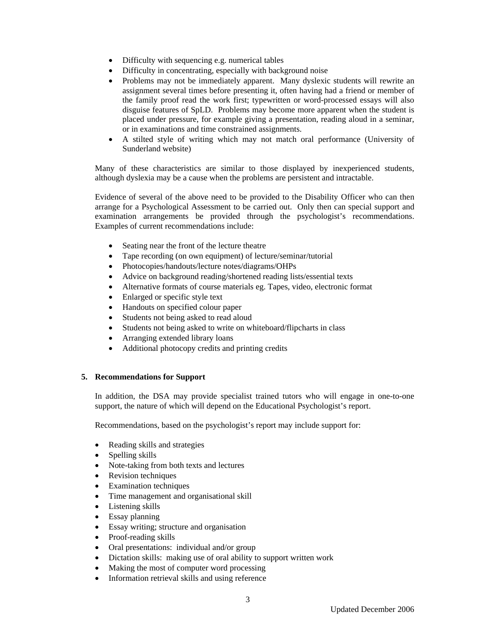- Difficulty with sequencing e.g. numerical tables
- Difficulty in concentrating, especially with background noise
- Problems may not be immediately apparent. Many dyslexic students will rewrite an assignment several times before presenting it, often having had a friend or member of the family proof read the work first; typewritten or word-processed essays will also disguise features of SpLD. Problems may become more apparent when the student is placed under pressure, for example giving a presentation, reading aloud in a seminar, or in examinations and time constrained assignments.
- A stilted style of writing which may not match oral performance (University of Sunderland website)

 Many of these characteristics are similar to those displayed by inexperienced students, although dyslexia may be a cause when the problems are persistent and intractable.

Evidence of several of the above need to be provided to the Disability Officer who can then arrange for a Psychological Assessment to be carried out. Only then can special support and examination arrangements be provided through the psychologist's recommendations. Examples of current recommendations include:

- Seating near the front of the lecture theatre
- Tape recording (on own equipment) of lecture/seminar/tutorial
- Photocopies/handouts/lecture notes/diagrams/OHPs
- Advice on background reading/shortened reading lists/essential texts
- Alternative formats of course materials eg. Tapes, video, electronic format
- Enlarged or specific style text
- Handouts on specified colour paper
- Students not being asked to read aloud
- Students not being asked to write on whiteboard/flipcharts in class
- Arranging extended library loans
- Additional photocopy credits and printing credits

## **5. Recommendations for Support**

In addition, the DSA may provide specialist trained tutors who will engage in one-to-one support, the nature of which will depend on the Educational Psychologist's report.

Recommendations, based on the psychologist's report may include support for:

- Reading skills and strategies
- Spelling skills
- Note-taking from both texts and lectures
- Revision techniques
- **Examination techniques**
- Time management and organisational skill
- Listening skills
- Essay planning
- Essay writing; structure and organisation
- Proof-reading skills
- Oral presentations: individual and/or group
- Dictation skills: making use of oral ability to support written work
- Making the most of computer word processing
- Information retrieval skills and using reference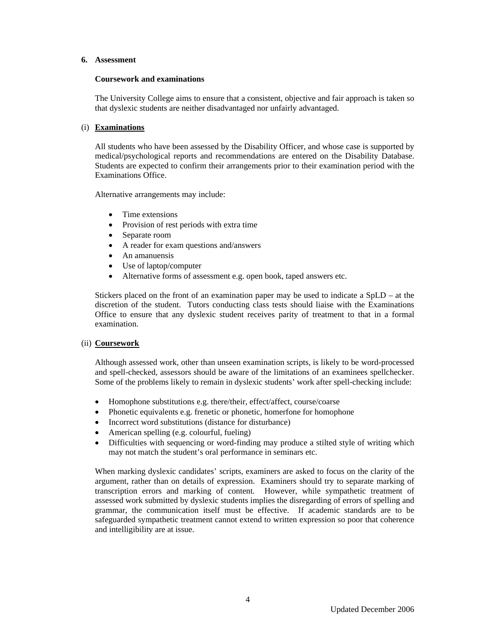#### **6. Assessment**

### **Coursework and examinations**

The University College aims to ensure that a consistent, objective and fair approach is taken so that dyslexic students are neither disadvantaged nor unfairly advantaged.

## (i) **Examinations**

All students who have been assessed by the Disability Officer, and whose case is supported by medical/psychological reports and recommendations are entered on the Disability Database. Students are expected to confirm their arrangements prior to their examination period with the Examinations Office.

Alternative arrangements may include:

- Time extensions
- Provision of rest periods with extra time
- Separate room
- A reader for exam questions and/answers
- An amanuensis
- Use of laptop/computer
- Alternative forms of assessment e.g. open book, taped answers etc.

Stickers placed on the front of an examination paper may be used to indicate a SpLD – at the discretion of the student. Tutors conducting class tests should liaise with the Examinations Office to ensure that any dyslexic student receives parity of treatment to that in a formal examination.

## (ii) **Coursework**

Although assessed work, other than unseen examination scripts, is likely to be word-processed and spell-checked, assessors should be aware of the limitations of an examinees spellchecker. Some of the problems likely to remain in dyslexic students' work after spell-checking include:

- Homophone substitutions e.g. there/their, effect/affect, course/coarse
- Phonetic equivalents e.g. frenetic or phonetic, homerfone for homophone
- Incorrect word substitutions (distance for disturbance)
- American spelling (e.g. colourful, fueling)
- Difficulties with sequencing or word-finding may produce a stilted style of writing which may not match the student's oral performance in seminars etc.

When marking dyslexic candidates' scripts, examiners are asked to focus on the clarity of the argument, rather than on details of expression. Examiners should try to separate marking of transcription errors and marking of content. However, while sympathetic treatment of assessed work submitted by dyslexic students implies the disregarding of errors of spelling and grammar, the communication itself must be effective. If academic standards are to be safeguarded sympathetic treatment cannot extend to written expression so poor that coherence and intelligibility are at issue.